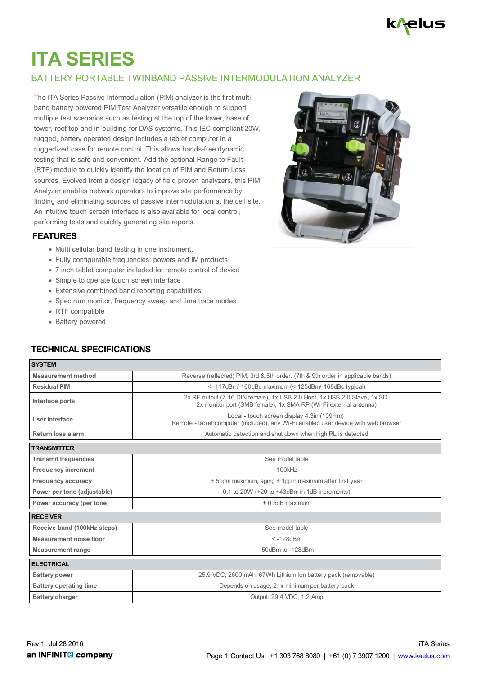# k/<del>}</del>elus

# **ITA SERIES**

# BATTERY PORTABLE TWINBAND PASSIVE INTERMODULATION ANALYZER

The iTA Series Passive Intermodulation (PIM) analyzer is the first multiband battery powered PIM Test Analyzer versatile enough to support multiple test scenarios such as testing at the top of the tower, base of tower, roof top and in-building for DAS systems. This IEC compliant 20W, rugged, battery operated design includes a tablet computer in a ruggedized case for remote control. This allows hands-free dynamic testing that is safe and convenient. Add the optional Range to Fault (RTF) module to quickly identify the location of PIM and Return Loss sources. Evolved from a design legacy of field proven analyzers, this PIM Analyzer enables network operators to improve site performance by finding and eliminating sources of passive intermodulation at the cell site. An intuitive touch screen interface is also available for local control, performing tests and quickly generating site reports.

#### **FEATURES**

- Multi cellular band testing in one instrument.
- Fully configurable frequencies, powers and IM products
- 7 inch tablet computer included for remote control of device
- Simple to operate touch screen interface
- Extensive combined band reporting capabilities
- Spectrum monitor, frequency sweep and time trace modes
- RTF compatible
- Battery powered

### **TECHNICAL SPECIFICATIONS**

| <b>SYSTEM</b>                 |                                                                                                                                              |  |  |  |  |
|-------------------------------|----------------------------------------------------------------------------------------------------------------------------------------------|--|--|--|--|
| <b>Measurement method</b>     | Reverse (reflected) PIM, 3rd & 5th order. (7th & 9th order in applicable bands)                                                              |  |  |  |  |
| <b>Residual PIM</b>           | <-117dBm/-160dBc maximum (<-125dBm/-168dBc typical)                                                                                          |  |  |  |  |
| Interface ports               | 2x RF output (7-16 DIN female), 1x USB 2.0 Host, 1x USB 2.0 Slave, 1x SD<br>2x monitor port (SMB female), 1x SMA-RP (Wi-Fi external antenna) |  |  |  |  |
| User interface                | Local - touch screen display 4.3in (109mm)<br>Remote - tablet computer (included), any Wi-Fi enabled user device with web browser            |  |  |  |  |
| Return loss alarm             | Automatic detection and shut down when high RL is detected                                                                                   |  |  |  |  |
| <b>TRANSMITTER</b>            |                                                                                                                                              |  |  |  |  |
| <b>Transmit frequencies</b>   | See model table                                                                                                                              |  |  |  |  |
| <b>Frequency increment</b>    | 100kHz                                                                                                                                       |  |  |  |  |
| <b>Frequency accuracy</b>     | $±$ 5ppm maximum, aging $±$ 1ppm maximum after first year                                                                                    |  |  |  |  |
| Power per tone (adjustable)   | 0.1 to 20W (+20 to +43dBm in 1dB increments)                                                                                                 |  |  |  |  |
| Power accuracy (per tone)     | $± 0.5dB$ maximum                                                                                                                            |  |  |  |  |
| <b>RECEIVER</b>               |                                                                                                                                              |  |  |  |  |
| Receive band (100kHz steps)   | See model table                                                                                                                              |  |  |  |  |
| Measurement noise floor       | $< -128$ d $Bm$                                                                                                                              |  |  |  |  |
| <b>Measurement range</b>      | -50dBm to -128dBm                                                                                                                            |  |  |  |  |
| <b>ELECTRICAL</b>             |                                                                                                                                              |  |  |  |  |
| <b>Battery power</b>          | 25.9 VDC, 2600 mAh, 67Wh Lithium Ion battery pack (removable)                                                                                |  |  |  |  |
| <b>Battery operating time</b> | Depends on usage, 2 hr minimum per battery pack                                                                                              |  |  |  |  |
| <b>Battery charger</b>        | Output: 29.4 VDC, 1.2 Amp                                                                                                                    |  |  |  |  |
|                               |                                                                                                                                              |  |  |  |  |